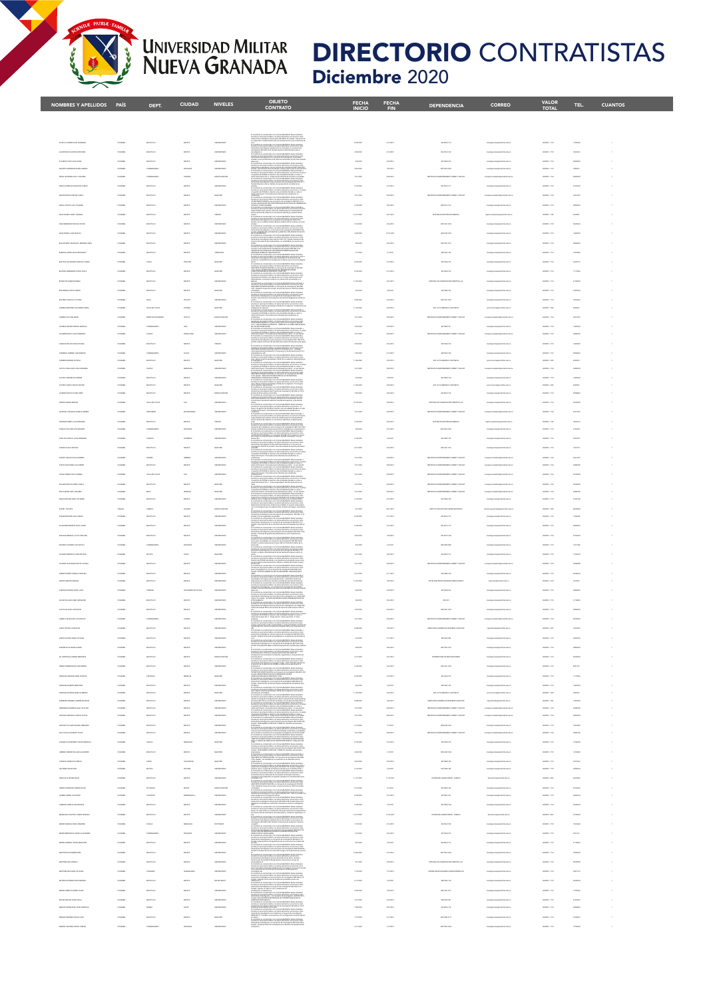## UNIVERSIDAD MILITAR<br>NUEVA GRANADA

## **DIRECTORIO** CONTRATISTAS Diciembre 2020

| NOMBRES Y APELLIDOS PAÍS                                            |                                   | DEPT.                                                                                                                                                                                                                                                                                                                                                                                                                                                                      | <b>CIUDAD</b>                    | <b>NIVELES</b>                         | <b>OBJETO</b><br>CONTRATO                                                                                                                                                                                                                                                                                                                                                                                                                                                                                                                                                                               | <b>FECHA</b><br><b>INICIO</b> | <b>FECHA</b><br><b>FIN</b> | <b>DEPENDENCIA</b>                                                                                                                      | <b>CORREO</b>                                                                                                                                                                                                                                                                                                                                                                                                                                                                                                                                                                       | <b>VALOR</b><br><b>TOTAL</b>                      | TEL.                            | <b>CUANTOS</b> |  |
|---------------------------------------------------------------------|-----------------------------------|----------------------------------------------------------------------------------------------------------------------------------------------------------------------------------------------------------------------------------------------------------------------------------------------------------------------------------------------------------------------------------------------------------------------------------------------------------------------------|----------------------------------|----------------------------------------|---------------------------------------------------------------------------------------------------------------------------------------------------------------------------------------------------------------------------------------------------------------------------------------------------------------------------------------------------------------------------------------------------------------------------------------------------------------------------------------------------------------------------------------------------------------------------------------------------------|-------------------------------|----------------------------|-----------------------------------------------------------------------------------------------------------------------------------------|-------------------------------------------------------------------------------------------------------------------------------------------------------------------------------------------------------------------------------------------------------------------------------------------------------------------------------------------------------------------------------------------------------------------------------------------------------------------------------------------------------------------------------------------------------------------------------------|---------------------------------------------------|---------------------------------|----------------|--|
|                                                                     |                                   |                                                                                                                                                                                                                                                                                                                                                                                                                                                                            |                                  |                                        |                                                                                                                                                                                                                                                                                                                                                                                                                                                                                                                                                                                                         |                               |                            |                                                                                                                                         |                                                                                                                                                                                                                                                                                                                                                                                                                                                                                                                                                                                     |                                                   |                                 |                |  |
|                                                                     |                                   |                                                                                                                                                                                                                                                                                                                                                                                                                                                                            |                                  |                                        |                                                                                                                                                                                                                                                                                                                                                                                                                                                                                                                                                                                                         |                               |                            |                                                                                                                                         |                                                                                                                                                                                                                                                                                                                                                                                                                                                                                                                                                                                     |                                                   |                                 |                |  |
|                                                                     | COLOMBA                           | acceti sc                                                                                                                                                                                                                                                                                                                                                                                                                                                                  | $_{\rm{max16}}$                  | UNANCINO                               |                                                                                                                                                                                                                                                                                                                                                                                                                                                                                                                                                                                                         | A/20/2020                     | 2/16/0021                  | NVISSION                                                                                                                                | miliar adusts                                                                                                                                                                                                                                                                                                                                                                                                                                                                                                                                                                       | 498806-1710                                       | 17260436                        |                |  |
|                                                                     |                                   | source is a                                                                                                                                                                                                                                                                                                                                                                                                                                                                | assas                            | <b><i>UNIVERSITARY</i></b>             |                                                                                                                                                                                                                                                                                                                                                                                                                                                                                                                                                                                                         | ASSISTED                      | 205202                     | <b>NU DO ZN</b>                                                                                                                         |                                                                                                                                                                                                                                                                                                                                                                                                                                                                                                                                                                                     |                                                   | <b>BONS</b>                     |                |  |
|                                                                     |                                   |                                                                                                                                                                                                                                                                                                                                                                                                                                                                            |                                  |                                        |                                                                                                                                                                                                                                                                                                                                                                                                                                                                                                                                                                                                         |                               |                            |                                                                                                                                         |                                                                                                                                                                                                                                                                                                                                                                                                                                                                                                                                                                                     |                                                   |                                 |                |  |
| <b>Z MARÍA ANDRE</b>                                                | <b>COLOMIS</b><br><b>COLOMB</b>   | CUSTAGEAL                                                                                                                                                                                                                                                                                                                                                                                                                                                                  | zewana<br>cagura                 | UNANCINO<br>EPICIALISCO                |                                                                                                                                                                                                                                                                                                                                                                                                                                                                                                                                                                                                         | 4/23/2020                     | 1,03/2021<br>10620         | NP DAS 202                                                                                                                              |                                                                                                                                                                                                                                                                                                                                                                                                                                                                                                                                                                                     | <b>ASSISTED VIOLA</b>                             | <b>Tempa</b><br><b>Contract</b> |                |  |
|                                                                     | COLOMBIA                          | acceti sc                                                                                                                                                                                                                                                                                                                                                                                                                                                                  | aparti                           | UNANCINO                               |                                                                                                                                                                                                                                                                                                                                                                                                                                                                                                                                                                                                         | 4/10/2020                     | 214,000                    | <b>IN 500 3171</b>                                                                                                                      |                                                                                                                                                                                                                                                                                                                                                                                                                                                                                                                                                                                     | 49804-1710                                        | 3704000                         |                |  |
| <b>NA CIMILO</b>                                                    | COLOMBIA                          | accetá p.c.                                                                                                                                                                                                                                                                                                                                                                                                                                                                | apprts                           | MAGNITON                               |                                                                                                                                                                                                                                                                                                                                                                                                                                                                                                                                                                                                         | 12/1/2020                     | 106,000                    | PAÑAMENTO, DRENT Y SEL ECT                                                                                                              |                                                                                                                                                                                                                                                                                                                                                                                                                                                                                                                                                                                     | emission-1134                                     | men                             |                |  |
|                                                                     |                                   | accets a c                                                                                                                                                                                                                                                                                                                                                                                                                                                                 | $_{\rm{max1}}$                   |                                        |                                                                                                                                                                                                                                                                                                                                                                                                                                                                                                                                                                                                         |                               | 104001                     | AP 003 3116                                                                                                                             |                                                                                                                                                                                                                                                                                                                                                                                                                                                                                                                                                                                     |                                                   |                                 |                |  |
|                                                                     | <b>COLOMBA</b>                    | accetá p.c.                                                                                                                                                                                                                                                                                                                                                                                                                                                                | aparta                           | ticuco                                 |                                                                                                                                                                                                                                                                                                                                                                                                                                                                                                                                                                                                         | 12/17/1008                    | amount                     | parenta ne certifia nominatorio                                                                                                         |                                                                                                                                                                                                                                                                                                                                                                                                                                                                                                                                                                                     | eman va                                           | <b>ANGELER</b>                  |                |  |
|                                                                     | <b>COLOMB</b>                     | source is a                                                                                                                                                                                                                                                                                                                                                                                                                                                                | soons                            | <b><i>UNIVERSITARY</i></b>             |                                                                                                                                                                                                                                                                                                                                                                                                                                                                                                                                                                                                         | Magazine                      | 206,000                    | WYCARLTER                                                                                                                               |                                                                                                                                                                                                                                                                                                                                                                                                                                                                                                                                                                                     |                                                   | <b>CONTACT</b>                  |                |  |
| <b><i>PASTMER JUN NCO.AS</i></b>                                    | <b>COLOMBA</b>                    | acceti sc                                                                                                                                                                                                                                                                                                                                                                                                                                                                  | aparti                           | UNANCINO                               |                                                                                                                                                                                                                                                                                                                                                                                                                                                                                                                                                                                                         | 4/26/2020                     | 1201/002                   | <b>WYNNESS</b>                                                                                                                          |                                                                                                                                                                                                                                                                                                                                                                                                                                                                                                                                                                                     | 498806-1710                                       | 1400ER                          |                |  |
|                                                                     |                                   | <b>BODDEÁ D.C</b>                                                                                                                                                                                                                                                                                                                                                                                                                                                          | assas<br>aparti                  |                                        |                                                                                                                                                                                                                                                                                                                                                                                                                                                                                                                                                                                                         |                               | 10426                      |                                                                                                                                         |                                                                                                                                                                                                                                                                                                                                                                                                                                                                                                                                                                                     |                                                   | .<br>                           |                |  |
| AT EAS SA MARCANATHI LUCING                                         | <b>COLOMBIA</b>                   | accetá E-C<br>caca                                                                                                                                                                                                                                                                                                                                                                                                                                                         | POPULAR                          | TECNOLOGIC<br>MAGNITON                 |                                                                                                                                                                                                                                                                                                                                                                                                                                                                                                                                                                                                         | AGUINE                        | 20/202<br>2/14/2021        | <b>MP AG 313</b><br>WWW.37M                                                                                                             |                                                                                                                                                                                                                                                                                                                                                                                                                                                                                                                                                                                     | 49884-1710                                        | <b>Supercrip</b>                |                |  |
|                                                                     |                                   |                                                                                                                                                                                                                                                                                                                                                                                                                                                                            | sours                            |                                        |                                                                                                                                                                                                                                                                                                                                                                                                                                                                                                                                                                                                         |                               |                            | NY 8637                                                                                                                                 |                                                                                                                                                                                                                                                                                                                                                                                                                                                                                                                                                                                     |                                                   |                                 |                |  |
|                                                                     | <b>COLOMIS</b>                    | accetá E-C                                                                                                                                                                                                                                                                                                                                                                                                                                                                 | aparti                           | UNANCIN                                |                                                                                                                                                                                                                                                                                                                                                                                                                                                                                                                                                                                                         | 11/23/3020                    | sovaer                     | <b>CPEA.IC</b>                                                                                                                          |                                                                                                                                                                                                                                                                                                                                                                                                                                                                                                                                                                                     | 498000-171                                        | <b>STANDARD</b>                 |                |  |
|                                                                     | <b>COLOMB</b>                     | accets a c                                                                                                                                                                                                                                                                                                                                                                                                                                                                 | assas                            | Motorca                                |                                                                                                                                                                                                                                                                                                                                                                                                                                                                                                                                                                                                         | 49200                         | 14:22                      | <b>NV DER 215</b>                                                                                                                       |                                                                                                                                                                                                                                                                                                                                                                                                                                                                                                                                                                                     |                                                   | <b>SMARIN</b>                   |                |  |
| NAJA TATARA                                                         | COLOMIN                           | <b>HALL</b>                                                                                                                                                                                                                                                                                                                                                                                                                                                                | <b>FEALTO</b>                    |                                        |                                                                                                                                                                                                                                                                                                                                                                                                                                                                                                                                                                                                         | 5/25/2020                     | 206,000                    | <b>WYCARTIM</b>                                                                                                                         | <b>Marian</b>                                                                                                                                                                                                                                                                                                                                                                                                                                                                                                                                                                       | ANNION-171                                        | 19504                           |                |  |
| <b>ROSA MARTÍNEZ ALEJANDRA MARÍA</b>                                | <b>COLOMBIA</b>                   | VALUE DEL CAUCA                                                                                                                                                                                                                                                                                                                                                                                                                                                            | <b>PEAKER</b>                    | MAGNITON                               |                                                                                                                                                                                                                                                                                                                                                                                                                                                                                                                                                                                                         | 11/10/2020                    | 100/2021                   | EP-ATLONEGA ADSTANCE                                                                                                                    | <b>Market</b>                                                                                                                                                                                                                                                                                                                                                                                                                                                                                                                                                                       | expose 100                                        | $rac{1}{2}$                     |                |  |
|                                                                     | COLOMBIA                          | NORTH DE GAN<br>CUNDIVERSITY                                                                                                                                                                                                                                                                                                                                                                                                                                               | ciona<br>$_{\rm{out}}$           | EPICIALISCO<br>UNANCINO                |                                                                                                                                                                                                                                                                                                                                                                                                                                                                                                                                                                                                         | 10/6/2020                     | 108,00<br>106,000          | <b>BEVORN STAT</b>                                                                                                                      |                                                                                                                                                                                                                                                                                                                                                                                                                                                                                                                                                                                     | ANNION-171                                        | men<br>1400ER                   |                |  |
|                                                                     | <b>COLOMB</b>                     | <b>CADAS</b>                                                                                                                                                                                                                                                                                                                                                                                                                                                               | <b>PENDALISM</b>                 |                                        |                                                                                                                                                                                                                                                                                                                                                                                                                                                                                                                                                                                                         | 120.000                       | 10920                      | <b>INTY REED</b>                                                                                                                        |                                                                                                                                                                                                                                                                                                                                                                                                                                                                                                                                                                                     |                                                   | <b>COLOR</b>                    |                |  |
|                                                                     |                                   |                                                                                                                                                                                                                                                                                                                                                                                                                                                                            | sours                            | ticuco                                 |                                                                                                                                                                                                                                                                                                                                                                                                                                                                                                                                                                                                         |                               |                            | <b>WV 863715</b>                                                                                                                        |                                                                                                                                                                                                                                                                                                                                                                                                                                                                                                                                                                                     |                                                   |                                 |                |  |
| <b>CONFIDENT JUNEAU</b>                                             | <b>COLOMBIA</b>                   | <b>CURRENTAL</b>                                                                                                                                                                                                                                                                                                                                                                                                                                                           | cuci                             | UNANCINO                               |                                                                                                                                                                                                                                                                                                                                                                                                                                                                                                                                                                                                         | 3,03,000                      | 6/13/0021                  | APASTOL                                                                                                                                 | <b>CONTRACTOR</b>                                                                                                                                                                                                                                                                                                                                                                                                                                                                                                                                                                   | 49884-1710                                        | <b>STRAND</b>                   |                |  |
| <b>ETLLC CRUILEELUM, FEM</b>                                        | <b>COLOMB</b><br>COLOMBIA         | accetá sic<br>CADAS                                                                                                                                                                                                                                                                                                                                                                                                                                                        | assas<br>MAGAZ                   | Motorca<br>UNANCINO                    |                                                                                                                                                                                                                                                                                                                                                                                                                                                                                                                                                                                                         | 12/1003                       | 100/202<br>sousset         | EP-ATA DINNON AD ITANCA<br>ENTICOS ACOMPAÑAMENTO, DIVENTY SES EST                                                                       |                                                                                                                                                                                                                                                                                                                                                                                                                                                                                                                                                                                     | emme-104                                          | $rac{1}{2}$<br>149000           |                |  |
| ATROLOGOŠO KATHERNE                                                 | <b>COLOMBIA</b>                   | accetá p.c.                                                                                                                                                                                                                                                                                                                                                                                                                                                                | apprts                           | UNANCINO                               | æ                                                                                                                                                                                                                                                                                                                                                                                                                                                                                                                                                                                                       | 49/2020                       | awaan                      | <b>NV DER 2154</b>                                                                                                                      | <b>CONTRACTOR</b>                                                                                                                                                                                                                                                                                                                                                                                                                                                                                                                                                                   | 49804-1710                                        | <b>LARGER</b>                   |                |  |
|                                                                     |                                   | accesi sc                                                                                                                                                                                                                                                                                                                                                                                                                                                                  | assau                            | MAGNETIN                               |                                                                                                                                                                                                                                                                                                                                                                                                                                                                                                                                                                                                         |                               | 200/20                     |                                                                                                                                         |                                                                                                                                                                                                                                                                                                                                                                                                                                                                                                                                                                                     |                                                   |                                 |                |  |
|                                                                     | COLOMBIA                          | acceti sc                                                                                                                                                                                                                                                                                                                                                                                                                                                                  | aparti                           | EPELADOR                               | na automonia, sun servizion come<br>de Investigazion INV, EES, 2006 EI                                                                                                                                                                                                                                                                                                                                                                                                                                                                                                                                  | 104300                        | 103/2021                   | NVIBULES                                                                                                                                |                                                                                                                                                                                                                                                                                                                                                                                                                                                                                                                                                                                     | ANNUAL 1710                                       | <b>JOHN</b>                     |                |  |
|                                                                     | COLOMBIA                          | VALLEDEL CAVE                                                                                                                                                                                                                                                                                                                                                                                                                                                              | $\alpha$                         | UNANCIN                                |                                                                                                                                                                                                                                                                                                                                                                                                                                                                                                                                                                                                         | 10/10/2020                    | 206202                     |                                                                                                                                         |                                                                                                                                                                                                                                                                                                                                                                                                                                                                                                                                                                                     | state on                                          | <b>SCHOOL</b>                   |                |  |
|                                                                     | COLOMBIA<br><b>COLOMBA</b>        | <b>GATASSE</b><br>accetá p.c.                                                                                                                                                                                                                                                                                                                                                                                                                                              | ECANAMI<br>aparti                | UNANCINO<br>ticuco                     |                                                                                                                                                                                                                                                                                                                                                                                                                                                                                                                                                                                                         | 12/1/2020<br>Arrange          | 108,000<br>100,000         | (TO DRIVTY RE ED)<br>Total be certain contractors                                                                                       |                                                                                                                                                                                                                                                                                                                                                                                                                                                                                                                                                                                     | 49804-113<br>$400000 - 1100$                      | son cru<br><b>HANN</b>          |                |  |
|                                                                     |                                   |                                                                                                                                                                                                                                                                                                                                                                                                                                                                            | zrașun                           |                                        | ulamentis, sus servizios como<br>Librarcologazion IMP CAS 2                                                                                                                                                                                                                                                                                                                                                                                                                                                                                                                                             |                               | anyon                      | <b>MP CALL 25</b>                                                                                                                       |                                                                                                                                                                                                                                                                                                                                                                                                                                                                                                                                                                                     |                                                   |                                 |                |  |
|                                                                     | COLOMBIA                          | CAQUETA                                                                                                                                                                                                                                                                                                                                                                                                                                                                    | <b>FLORIDAGE</b>                 | UNANCIN                                |                                                                                                                                                                                                                                                                                                                                                                                                                                                                                                                                                                                                         | 4/4/202                       | 45/202                     | <b>INVOIDE 2102</b>                                                                                                                     |                                                                                                                                                                                                                                                                                                                                                                                                                                                                                                                                                                                     | 49804-171                                         | <b>HONO</b>                     |                |  |
| MODLAR                                                              | COLOMBIA                          | source is a                                                                                                                                                                                                                                                                                                                                                                                                                                                                | assas                            | Motorca                                |                                                                                                                                                                                                                                                                                                                                                                                                                                                                                                                                                                                                         | Announce                      | 203.002                    | WYCARTIN                                                                                                                                |                                                                                                                                                                                                                                                                                                                                                                                                                                                                                                                                                                                     | eman on                                           | <b>DOM:</b>                     |                |  |
|                                                                     | COLOMBA                           | questo                                                                                                                                                                                                                                                                                                                                                                                                                                                                     | ancou                            | UNANCINO                               | æ                                                                                                                                                                                                                                                                                                                                                                                                                                                                                                                                                                                                       | 12/1/2020                     | 108,000                    | ENTO DRENTY GEL 607                                                                                                                     |                                                                                                                                                                                                                                                                                                                                                                                                                                                                                                                                                                                     | 498004-1124                                       | sancre                          |                |  |
| <b>ESTA RICE SANEL ALEJANCH</b>                                     | <b>COLOMBIA</b>                   | accetá p.c.                                                                                                                                                                                                                                                                                                                                                                                                                                                                | aparta                           | UNANCINO                               |                                                                                                                                                                                                                                                                                                                                                                                                                                                                                                                                                                                                         | 12/1003                       | sources                    | <b>DAPAÑAMENTO, DRENTY SEL ECT</b>                                                                                                      | diam <sup>n</sup>                                                                                                                                                                                                                                                                                                                                                                                                                                                                                                                                                                   | emme-194                                          | <b>Selection</b>                |                |  |
|                                                                     | COLOMIN                           | acceti sc                                                                                                                                                                                                                                                                                                                                                                                                                                                                  | aparti                           | MAGNITON                               |                                                                                                                                                                                                                                                                                                                                                                                                                                                                                                                                                                                                         | 12/1/2020                     | 108,000                    | FG DRENTY BE RET                                                                                                                        |                                                                                                                                                                                                                                                                                                                                                                                                                                                                                                                                                                                     | ANNION-113                                        | <b>Statement</b>                |                |  |
|                                                                     | <b>COLOMB</b>                     | MS.                                                                                                                                                                                                                                                                                                                                                                                                                                                                        | <b>GRAND</b>                     | MAGAZIN                                |                                                                                                                                                                                                                                                                                                                                                                                                                                                                                                                                                                                                         | 120.000                       | source                     | <b>MATO ONEN'TY REL ED</b>                                                                                                              |                                                                                                                                                                                                                                                                                                                                                                                                                                                                                                                                                                                     |                                                   | <b>COLLEGE</b>                  |                |  |
|                                                                     |                                   | soccts ac                                                                                                                                                                                                                                                                                                                                                                                                                                                                  | $_{\rm{max1}}$                   |                                        |                                                                                                                                                                                                                                                                                                                                                                                                                                                                                                                                                                                                         |                               | anyser                     | au pa za                                                                                                                                |                                                                                                                                                                                                                                                                                                                                                                                                                                                                                                                                                                                     |                                                   | <b>STATOA</b>                   |                |  |
| DUPORT PHILIPPE                                                     | CANADA<br><b>COLOMB</b>           | ALMANCA<br><b>BODDEÁ D.C</b>                                                                                                                                                                                                                                                                                                                                                                                                                                               | casun<br>assas                   | EPICIALDOS<br><b><i>UNIVERSITY</i></b> |                                                                                                                                                                                                                                                                                                                                                                                                                                                                                                                                                                                                         | 4/1000<br>A18.300             | Anyster<br>203200          | NOTIVEL DE ESTUDIO E GEORETALTECCOS<br><b>AVELTA</b>                                                                                    |                                                                                                                                                                                                                                                                                                                                                                                                                                                                                                                                                                                     | empty-top                                         | <b>COLOR</b><br>zwa             |                |  |
|                                                                     | COLOMBIA                          | acceti sc                                                                                                                                                                                                                                                                                                                                                                                                                                                                  | aparti                           | UNANCINO                               |                                                                                                                                                                                                                                                                                                                                                                                                                                                                                                                                                                                                         | 6/4/2020                      | 3/14/0021                  | <b>IN ECO 3172</b>                                                                                                                      |                                                                                                                                                                                                                                                                                                                                                                                                                                                                                                                                                                                     | 49804-1710                                        | <b>201604</b>                   |                |  |
| LOADE BOBADILLA LUCY CARDLINE                                       | <b>COLOMBIA</b>                   | accetá p.c.                                                                                                                                                                                                                                                                                                                                                                                                                                                                | apprti                           | UNANCINO                               |                                                                                                                                                                                                                                                                                                                                                                                                                                                                                                                                                                                                         | 4/23/2020                     | 1,04,002                   | <b>IN ICO THE</b>                                                                                                                       |                                                                                                                                                                                                                                                                                                                                                                                                                                                                                                                                                                                     | 49884-1710                                        | 3704000                         |                |  |
|                                                                     |                                   |                                                                                                                                                                                                                                                                                                                                                                                                                                                                            | ZPAQUN                           |                                        |                                                                                                                                                                                                                                                                                                                                                                                                                                                                                                                                                                                                         | 4/4/2020                      | 40/202                     | AP 20120                                                                                                                                |                                                                                                                                                                                                                                                                                                                                                                                                                                                                                                                                                                                     |                                                   | 707/68                          |                |  |
| <b>MATER</b>                                                        | <b>COLOMBIA</b>                   | sound                                                                                                                                                                                                                                                                                                                                                                                                                                                                      | taca                             | MAGNITON                               |                                                                                                                                                                                                                                                                                                                                                                                                                                                                                                                                                                                                         | 12/1/2020                     | 406,000                    | NVILLES                                                                                                                                 |                                                                                                                                                                                                                                                                                                                                                                                                                                                                                                                                                                                     | 49804-1710                                        | 19904                           |                |  |
|                                                                     | <b>COLOMB</b>                     | accetá sic                                                                                                                                                                                                                                                                                                                                                                                                                                                                 | assas                            | UNANCIN                                |                                                                                                                                                                                                                                                                                                                                                                                                                                                                                                                                                                                                         | 12/1008                       | 106,000                    | <b>ATY REES</b>                                                                                                                         |                                                                                                                                                                                                                                                                                                                                                                                                                                                                                                                                                                                     |                                                   | <b>Strategy</b>                 |                |  |
|                                                                     | COLOMBIA<br><b>COLOMBIA</b>       | accetá E-C<br>accetá p.c.                                                                                                                                                                                                                                                                                                                                                                                                                                                  | apprts<br>apprts                 | UNANCINO                               |                                                                                                                                                                                                                                                                                                                                                                                                                                                                                                                                                                                                         | engas<br>13/14/2020           | 4/11/2021<br>1.00/2021     | <b>BEVORN STAG</b><br>TION DE ORGANI<br><b>MESS DEC</b>                                                                                 |                                                                                                                                                                                                                                                                                                                                                                                                                                                                                                                                                                                     | ANNION-171<br>email set                           | <b>INDIAN</b><br>24000          |                |  |
|                                                                     |                                   | coroce                                                                                                                                                                                                                                                                                                                                                                                                                                                                     |                                  |                                        |                                                                                                                                                                                                                                                                                                                                                                                                                                                                                                                                                                                                         |                               | 108/202                    | W/A031M                                                                                                                                 |                                                                                                                                                                                                                                                                                                                                                                                                                                                                                                                                                                                     |                                                   |                                 |                |  |
|                                                                     | COLOMBA                           | accetá sic                                                                                                                                                                                                                                                                                                                                                                                                                                                                 | aparta                           | UNANCINO                               |                                                                                                                                                                                                                                                                                                                                                                                                                                                                                                                                                                                                         | --                            | 104/2021                   | an es                                                                                                                                   |                                                                                                                                                                                                                                                                                                                                                                                                                                                                                                                                                                                     | 498004-173                                        | 217004                          |                |  |
| GALINE RALIZAN, ANN DAVE                                            |                                   | soccia po                                                                                                                                                                                                                                                                                                                                                                                                                                                                  | want                             | <b><i>UNIVERSITARY</i></b>             |                                                                                                                                                                                                                                                                                                                                                                                                                                                                                                                                                                                                         |                               | <b>VAN</b>                 | wycast.met                                                                                                                              |                                                                                                                                                                                                                                                                                                                                                                                                                                                                                                                                                                                     |                                                   |                                 |                |  |
| MARA CASTIN JINO JUN FELP                                           |                                   |                                                                                                                                                                                                                                                                                                                                                                                                                                                                            | <b>LLMES</b>                     |                                        |                                                                                                                                                                                                                                                                                                                                                                                                                                                                                                                                                                                                         |                               |                            |                                                                                                                                         |                                                                                                                                                                                                                                                                                                                                                                                                                                                                                                                                                                                     |                                                   |                                 |                |  |
| GANNY COPTER JEAN DAVID                                             | course                            | accetá dic                                                                                                                                                                                                                                                                                                                                                                                                                                                                 | $_{\rm{max1}}$                   | permiten                               | persiar per son proprie e realista, con plata autoresia da una servizion para<br>Algunal per primarcale realista moltinarilean Espaina VIII, Olympica Victorian del L<br>Llumento que UNA y Nevarson Riberativon Espaina VIII, perso                                                                                                                                                                                                                                                                                                                                                                    | 400000                        | 1,04,002                   | DIRECTOR ACADEMICA DE DESARROLLO MOLTAN                                                                                                 | agradiensis (patrelike sek on                                                                                                                                                                                                                                                                                                                                                                                                                                                                                                                                                       | $m = 100$                                         | isses                           | $\bar{\rm{z}}$ |  |
| GARDA CAETRO AMENI CATALINA                                         | course                            | $\scriptstyle{\text{mortic}}$                                                                                                                                                                                                                                                                                                                                                                                                                                              | $_{\rm{max1}}$                   | permiten                               | preser per sus propies rendos, conpleta autonomía, sus sentintes como:<br>acidente de investigación, para el properte de investigación SEP-NG-2014,<br>visíado: "Modelo de Merceles Visual Basado en la Aplaución de Opraeleres<br>$\label{lem:constrained} The solution areomorphisms can be determined while the linear domain is possible or non-symmetric inhomogeneous, and we will have no non-symmetric transformations are given by a non-singular list of the real group is a W(G\boxtimes Y)G_0^2 which follows that the integral is a finite map of the complex group. In addition, we will$ | 45,000                        | $\frac{1}{2}$              | 409.62456                                                                                                                               | <b>In entry come guarantee als</b> as                                                                                                                                                                                                                                                                                                                                                                                                                                                                                                                                               | 49804-1710                                        | 140000                          |                |  |
| GARDEN BLVD ANDELA MARIE                                            | COLOMBIA                          | access a.c.                                                                                                                                                                                                                                                                                                                                                                                                                                                                | aparti                           | permitting                             |                                                                                                                                                                                                                                                                                                                                                                                                                                                                                                                                                                                                         | 59,000                        | 106/2021                   | avcatiii                                                                                                                                | in an inperior and posterior and a re-                                                                                                                                                                                                                                                                                                                                                                                                                                                                                                                                              | $m = 17.6$                                        | <b>SWAGE</b>                    |                |  |
| GOMEZ CORREDOR WILLIAM ANOMES                                       | <b>COLONIAL</b><br><b>COLOMBA</b> | accetá dio<br>exercice                                                                                                                                                                                                                                                                                                                                                                                                                                                     | anarsi<br>aparti                 | rencuenco<br>UNANCINO                  |                                                                                                                                                                                                                                                                                                                                                                                                                                                                                                                                                                                                         | 477/200<br>s/agos             | 100,000<br>106,000         | VORMETORIA DE AVANTIGAÇÕNE<br>avcentm                                                                                                   | in an inperior and posterior and con-                                                                                                                                                                                                                                                                                                                                                                                                                                                                                                                                               | 49884-1710                                        | $rac{1}{2}$<br><b>ASKONS</b>    |                |  |
| CONTRACT ARMANO ISABEL CRISTINA                                     | co.cem.                           | anga                                                                                                                                                                                                                                                                                                                                                                                                                                                                       | MOLA                             | Motives                                | $\label{thm:main} \begin{minipage}[t]{. \small\textbf{Exercise 1:} \normalsize \textbf{[1] } \normalsize \textbf{[1] } \normalsize \textbf{[1] } \normalsize \textbf{[1] } \normalsize \textbf{[1] } \normalsize \textbf{[1] } \normalsize \textbf{[1] } \normalsize \textbf{[1] } \normalsize \textbf{[1] } \normalsize \textbf{[1] } \normalsize \textbf{[1] } \normalsize \textbf{[1] } \normalsize \textbf{[1] } \normalsize \textbf{[1] } \normalsize \textbf{[1] } \normalsize \textbf{[1]$                                                                                                       | 4/4200                        | 2/4,007                    | 80.86376                                                                                                                                | investigaciones (particulare educa                                                                                                                                                                                                                                                                                                                                                                                                                                                                                                                                                  | $m = 170$                                         | <b>TOWA</b>                     |                |  |
| CONDÚLEZ GARDÓN SEBASTÁN                                            | COLOMBA                           | exercice                                                                                                                                                                                                                                                                                                                                                                                                                                                                   | $_{\rm{max16}}$                  | UNANCINO                               |                                                                                                                                                                                                                                                                                                                                                                                                                                                                                                                                                                                                         | 14200                         | 24,997                     | APA1102                                                                                                                                 | investigaciones (posterilian aducer                                                                                                                                                                                                                                                                                                                                                                                                                                                                                                                                                 | $40004 - 1710$                                    | 144008                          | $\,$ $\,$      |  |
| CONDUCT QUINOGA MARTINA BRADEL                                      | co.cem.                           | accetá p.c.                                                                                                                                                                                                                                                                                                                                                                                                                                                                | assas                            | <b>MODER</b>                           |                                                                                                                                                                                                                                                                                                                                                                                                                                                                                                                                                                                                         | 11/10/2020                    | sources                    | EP. A TA GRENCH ADSTRACA                                                                                                                | pod monoring positive situati                                                                                                                                                                                                                                                                                                                                                                                                                                                                                                                                                       | $\frac{1}{2}$ and $\frac{1}{2}$ and $\frac{1}{2}$ | 10000                           |                |  |
| HEMANDEZ MARKS ELAINA JULETINEN                                     | 0.000<br><b>COLOMBA</b>           | acceti no<br>exercice                                                                                                                                                                                                                                                                                                                                                                                                                                                      | assau<br>anarsi                  | permites<br><b>UNIVERSITY</b>          |                                                                                                                                                                                                                                                                                                                                                                                                                                                                                                                                                                                                         | 408300<br>12/1003             | Longer<br>106307           | DIRECCO ACADÊMICA DE DELARGILE MALTAR<br>CIRCOLACOMPAÑAMINTO, DRIVEY SEL ED                                                             | <b><i><i><u>spectrosic province etc.</u></i></i></b><br>swapisa mbalantijuomita atum                                                                                                                                                                                                                                                                                                                                                                                                                                                                                                | emer-ter<br>entered 1934                          | $\sim$<br>140000                |                |  |
| HATSAS GONZÁLEZ JESEGA VOLAN                                        | courses.                          | accetá p.c.                                                                                                                                                                                                                                                                                                                                                                                                                                                                | apprts                           | UNANCINO                               |                                                                                                                                                                                                                                                                                                                                                                                                                                                                                                                                                                                                         | 12/1003                       | source                     | CENTRO DE ACOMPAÑAMENTO, DRENT Y SEL EST                                                                                                |                                                                                                                                                                                                                                                                                                                                                                                                                                                                                                                                                                                     | 400000000004                                      | 1000                            | $\,$ $\,$      |  |
|                                                                     | $\alpha$                          | $\frac{1}{2} \left( \frac{1}{2} \right) \left( \frac{1}{2} \right) \left( \frac{1}{2} \right) \left( \frac{1}{2} \right) \left( \frac{1}{2} \right) \left( \frac{1}{2} \right) \left( \frac{1}{2} \right) \left( \frac{1}{2} \right) \left( \frac{1}{2} \right) \left( \frac{1}{2} \right) \left( \frac{1}{2} \right) \left( \frac{1}{2} \right) \left( \frac{1}{2} \right) \left( \frac{1}{2} \right) \left( \frac{1}{2} \right) \left( \frac{1}{2} \right) \left( \frac$ | $\frac{1}{2}$                    | eerstate                               |                                                                                                                                                                                                                                                                                                                                                                                                                                                                                                                                                                                                         | 4/13/2626                     | $_{\rm 50000}$             | $\label{eq:1} \begin{aligned} \text{WVAW I16} \end{aligned}$                                                                            | in entipe term (petrolike educa                                                                                                                                                                                                                                                                                                                                                                                                                                                                                                                                                     | eman tra                                          | 19500                           |                |  |
| Kita Court and Kamber Vol.03                                        | <b>COLOMBA</b>                    | exercice                                                                                                                                                                                                                                                                                                                                                                                                                                                                   | $_{\rm 4043\,M}$                 | UNANCIANO                              | $\label{eq:2} \begin{minipage}{0.9\textwidth} \begin{tabular}{ l p{0.8em}c } \hline & \multicolumn{2}{ c }{\textwidth} \end{tabular} \begin{tabular}{ l c } \hline \multicolumn{2}{ c }{\textwidth} \end{tabular} \begin{tabular}{ l c } \hline \multicolumn{2}{ c }{\textwidth} \end{tabular} \begin{tabular}{ c c } \hline \multicolumn{2}{ c }{\textwidth} \end{tabular} \begin{tabular}{ c c } \hline \multicolumn{2}{ c }{\textwidth} \end{tabular} \begin{tabular}{ c c $                                                                                                                         | 12/1003                       | 106307                     | CINTRO DE ACOMPAÑAMENTO, DRENT Y SEL EST                                                                                                | complete missioni (particle advers                                                                                                                                                                                                                                                                                                                                                                                                                                                                                                                                                  | 49804-104                                         | <b>SSIRVAL</b>                  | $\,$ $\,$      |  |
| MANUA EDIDARRY CANOLINANCIA<br><b>JAPACE JAPACE RELEASE SERVICE</b> | co.cem.<br>co.cem.                | $_{\footnotesize \textnormal{caust}}$<br>accetá dio                                                                                                                                                                                                                                                                                                                                                                                                                        | MAGAZI<br>$\mu_{\rm EOM}$        | MODER<br>MODER                         | paralist per sua propies medica, complete automorfo, una servicina como<br>Anicheros de Investigación, para el properto de Investigación MV HUM 21 de<br>Hubelo: "A TELCENCULAR PROJÁ, Y BEOCTICA, Ornadea humanistas e<br>Institucione                                                                                                                                                                                                                                                                                                                                                                 | 479/202<br>423,200            | 2/4,007<br>$10000$         | $_{\rm WWH3190}$<br>$\label{eq:2.1} \textbf{A} \textbf{V} \textbf{P} \textbf{A} \textbf{B} \textbf{A} \textbf{B} \textbf{B} \textbf{B}$ | in entige term (petrolike als as<br>$\label{eq:constr} \begin{minipage}{0.9\linewidth} \begin{minipage}{0.9\linewidth} \begin{minipage}{0.9\linewidth} \begin{minipage}{0.9\linewidth} \end{minipage} \begin{minipage}{0.9\linewidth} \begin{minipage}{0.9\linewidth} \end{minipage} \begin{minipage}{0.9\linewidth} \end{minipage} \begin{minipage}{0.9\linewidth} \begin{minipage}{0.9\linewidth} \end{minipage} \begin{minipage}{0.9\linewidth} \end{minipage} \begin{minipage}{0.9\linewidth} \end{minipage} \begin{minipage}{0.9\linewidth} \begin{minipage}{0.9\linewidth} \$ | $m = 170$<br>eman tra                             | 150040<br>$1$                   |                |  |
| ARMAI CARLLO SAVIETY                                                | <b>COLOMBIA</b>                   | $_{\text{CHAM}}$                                                                                                                                                                                                                                                                                                                                                                                                                                                           | VALENTAR                         | Motive                                 | $\label{eq:reduced} \begin{minipage}[t]{0.9\textwidth} \begin{minipage}[t]{0.9\textwidth} \begin{itemize} \textbf{[0.9\textwidth:} \begin{itemize} \textbf{[0.9\textwidth:} \begin{itemize} \textbf{[0.9\textwidth:} \begin{itemize} \textbf{[0.9\textwidth:} \begin{itemize} \textbf{[0.9\textwidth:} \begin{itemize} \textbf{[0.9\textwidth:} \begin{itemize} \textbf{[0.9\textwidth:} \begin{itemize} \textbf{[0.9\textwidth:} \end{itemize} \end{itemize} \end{itemize} \end{itemize} \end{item$                                                                                                    | sousse                        | 100,000                    | <b>AVOID 2704</b>                                                                                                                       | In an input overall protection and one                                                                                                                                                                                                                                                                                                                                                                                                                                                                                                                                              | $400000 - 1710$                                   | 1007040                         | $\,$           |  |
| LEE PÉREZ DESARAGIN                                                 | 0.000                             | $_{\text{accal}}$                                                                                                                                                                                                                                                                                                                                                                                                                                                          | outseu                           | UNIVERSITY                             | Económicha se compromete con la liniensidad Militer Norra Cranada a presiar por sus propies medio, un questo a meteorial propies and the server of the server of the server of the server of the server of the server of the s<br>Selfatal reles y tesges de les Devolus Hamenes en el Galerea Peral. I<br>El Centralista se componente con la Grizanidad bilitar Norra Cranada e                                                                                                                                                                                                                       | 478,000                       | secon                      | $80/248$ 2/35                                                                                                                           | in entique term (pertrettur educe                                                                                                                                                                                                                                                                                                                                                                                                                                                                                                                                                   | 49444-1710                                        | 160000                          |                |  |
| LEÓN FALLA MOISÉS SAVO                                              | <b>COLOMBA</b>                    | exercice                                                                                                                                                                                                                                                                                                                                                                                                                                                                   | $_{\rm{max16}}$                  | UNANCIANO                              | professional para la malinación de las pruebas de listingia malendar y<br>servitópicas para diagnóstico de agentes pabligense en salud flumana para<br>pablingias nom                                                                                                                                                                                                                                                                                                                                                                                                                                   | 11/13080                      | 11/16/0001                 | ENVELOPE DE LABORATORIOS - CAMPUS                                                                                                       | Mondance (point for eds or                                                                                                                                                                                                                                                                                                                                                                                                                                                                                                                                                          | $40000 - 3010$                                    | service                         |                |  |
| PERSONAL GENERAL PROPERTY                                           | courses.                          | <b>PUTJAGES</b>                                                                                                                                                                                                                                                                                                                                                                                                                                                            | 16004                            | EPICIALDOS                             | gaming the components are the following for the first scalar scalar<br>formation and the components of the formation of the first scalar scalar<br>$\mathcal{M}$ is a simple of the property of the state of the components are as<br>in th                                                                                                                                                                                                                                                                                                                                                             | 413200                        | anose                      | <b>AVOID 210</b>                                                                                                                        | in an input compared that where                                                                                                                                                                                                                                                                                                                                                                                                                                                                                                                                                     |                                                   | 202064                          |                |  |
| LLENDAL GERMAANS FELIPE<br>OWNERS AT ALL MARCE                      | co.cem.<br><b>COLOMBIA</b>        | anaanco<br>accetá p.c.                                                                                                                                                                                                                                                                                                                                                                                                                                                     | <b>AUTOROFICA</b><br>ansoni      | permiten<br>UNIVERSITY                 | mara konšenska av atlentagende udsatt"<br>Externé liger van program enden, sor påves måled kläne blav af mens in ender<br>provint per van program verdan, sor påves atlentaren, sor påves mens in ender<br>andet van de van program ver                                                                                                                                                                                                                                                                                                                                                                 | 4/83400<br>4/162020           | $_{\text{VAV}}$<br>awaye   | $A\mathbf{V} \mathbf{D} \mathbf{G} \mathbf{J} \mathbf{I} \mathbf{D}^{\dagger}$<br><b>AV DER 2708</b>                                    | In an input overall protection and one                                                                                                                                                                                                                                                                                                                                                                                                                                                                                                                                              | $m = 170$<br>$400000 - 1710$                      | 160000<br><b>Summa</b>          |                |  |
| <b>BUSCAY BALTISTA JENNY MARCELA</b>                                | co.cem.                           | access a.c.                                                                                                                                                                                                                                                                                                                                                                                                                                                                | $\mu_{\rm EOM}$                  | UNIVERSITY                             | white or composed a con brill time sided Millar Nerva Craneda<br>presiar per sus propies rendos, corollera autorerría, sus servicies corre.<br>apren a la supervisión en la realización de lamas operativas de argumiento;<br>de comanución de información, documentación y exidencia requesta por el                                                                                                                                                                                                                                                                                                   | 12/133446                     | 12/16/0021                 | ENSIN DE LABORATORIOS CAMPUS                                                                                                            | $\label{eq:constr} the nonrespace of the other hand with a nonrespace of the subspaces of the two points.$                                                                                                                                                                                                                                                                                                                                                                                                                                                                          | 49444-345                                         | $\sim$                          |                |  |
| MARK GARRAGE SIECE ARMINGS                                          | <b>COLOMBA</b>                    | caost                                                                                                                                                                                                                                                                                                                                                                                                                                                                      | MAGAZI                           | portosupo                              | $\label{thm:main} The activation is a component of an individual Mlike linear Gaussian graphs. Thefunction of the population is the probability, a nontrivial, an untrivial, or a finite in A isinfinite of a boundary and byobtational on the distribution of the A and A isto be defined by the DDEBQ, thelabel the probability probability of the two nontrivial.$                                                                                                                                                                                                                                   | 3/10/2020                     | 206,000                    | NVISSIM                                                                                                                                 | in migolarização estas atuas                                                                                                                                                                                                                                                                                                                                                                                                                                                                                                                                                        | 49804-1710                                        | <b>Listens</b>                  |                |  |
| MARK MENDELED JESSEL LIZENDRO                                       | co.cem.                           | CURDINABLE                                                                                                                                                                                                                                                                                                                                                                                                                                                                 | zrașul                           | permiten                               | mention<br>in a compensation of the interactional Milko Harva Coronica (metric parameter)<br>and the compensation condition of the competence of the second condition<br>$\sim$ 2000 and the competence of the competence of the secondi                                                                                                                                                                                                                                                                                                                                                                | 11/3/2020                     | 204,002                    | AVAG3765                                                                                                                                | in vertex compared for the co-                                                                                                                                                                                                                                                                                                                                                                                                                                                                                                                                                      | 4984-1710                                         | sones                           |                |  |
| MARK GAMERA JACAN STAATSA                                           | <b>COLOMBA</b>                    | apports p.c.                                                                                                                                                                                                                                                                                                                                                                                                                                                               | $_{\rm{max1}}$                   | UNANCIANO                              | presiar per sus propies rendes, car plana autorareis, ses servicies como<br>Asialente de incentigación, en el propeda de investigación NOVEES (7.7),<br>Victoria (replementación de Agendas de par en munerarios de enadicación                                                                                                                                                                                                                                                                                                                                                                         | 4/4/2020                      | 40/2021                    | 88.983175                                                                                                                               | investigaciones (particulare educat                                                                                                                                                                                                                                                                                                                                                                                                                                                                                                                                                 | $40004 - 1710$                                    | 27,500.00                       | $\,$ 1         |  |
| MARTINING JAC RUBBY DANG                                            | <b>COLOMBIA</b>                   | accetá p.c.                                                                                                                                                                                                                                                                                                                                                                                                                                                                | aparti                           | UNANCINO                               | Walashir Ingkommunasi sa maya ta kabupatèn Milan Hama Komada a<br>darahir sa mangapunakan sa kabupatèn Kabupatèn Milan Hama Komada samu<br>gumular par sang panjan mulain, sangkara adalamaha, san samula samu<br>kabubaté Tamparananak                                                                                                                                                                                                                                                                                                                                                                 | 10/23/2020                    | answer                     | APCASTOS                                                                                                                                | in miquinempeterita etc.co                                                                                                                                                                                                                                                                                                                                                                                                                                                                                                                                                          | $m = 174$                                         | <b>Telephone</b>                | $\,$ $\,$      |  |
| AMTINEZ DAZ DANISLA                                                 | co.cem.                           | access a.c.                                                                                                                                                                                                                                                                                                                                                                                                                                                                | $_{\rm{arcc}}$                   | permiten                               |                                                                                                                                                                                                                                                                                                                                                                                                                                                                                                                                                                                                         | 47/200                        | $100000$                   | EDITORAL DE COMPASADON CIDERIFICA, AC                                                                                                   |                                                                                                                                                                                                                                                                                                                                                                                                                                                                                                                                                                                     | 49804-1716                                        | $\sim$                          |                |  |
| MARTINEZ ROA DUNIA CATALINA                                         | COLOMBIA                          | CALIMAR                                                                                                                                                                                                                                                                                                                                                                                                                                                                    | <b>GAMALING</b>                  | permitting                             |                                                                                                                                                                                                                                                                                                                                                                                                                                                                                                                                                                                                         | 3/10/2020                     | 110,000                    | JOINTEN ET GADINEE IN VALORIESE                                                                                                         | In an input overall protection and one                                                                                                                                                                                                                                                                                                                                                                                                                                                                                                                                              | $400000 - 1710$                                   | paratou                         |                |  |
| MARINA ESTENIA SAVE OVNOAR                                          | course                            | access a.c.                                                                                                                                                                                                                                                                                                                                                                                                                                                                | assets                           | MONUMER                                |                                                                                                                                                                                                                                                                                                                                                                                                                                                                                                                                                                                                         | 413200                        | sear                       | arasm                                                                                                                                   | investigaciones (particulare educa                                                                                                                                                                                                                                                                                                                                                                                                                                                                                                                                                  | eman on                                           | <b>Sunner</b>                   |                |  |
| MIDAL SIMUS MINEY KILEY<br>MOUNT RECONTINUES AND                    | <b>COLOMBA</b><br>co.cem.         | access a.c.<br>accets a.c.                                                                                                                                                                                                                                                                                                                                                                                                                                                 | $\text{max} \mathbf{u}$          | UNANCIANO<br>permiten                  | presion per sus propies medius, complete automates, sus servicies come.<br>Asialente de investigación, un al propieta de investigación. AP-060-2007.<br>Vistado: Enducaciónico: Gartenia EENO-CONVENCIONALES EN LA                                                                                                                                                                                                                                                                                                                                                                                      | souppo<br><b>MOSS</b>         | 1,00,002<br>203,002        | <b>WYCARTEE</b><br>APASSO                                                                                                               | in migolarização estas atuas                                                                                                                                                                                                                                                                                                                                                                                                                                                                                                                                                        | $40004 - 1710$<br>$\frac{1}{2}$ and $\frac{1}{2}$ | 172606<br>$_{25003}$            |                |  |
|                                                                     | 0.000                             | $\frac{1}{2}$                                                                                                                                                                                                                                                                                                                                                                                                                                                              | $_{\rm{maxu}}$<br>$\overline{a}$ | UNIVERSITY                             | Washin Filicia (2002)<br>200 - The Maria Control de Cartes de Cartes (2003)<br>2005 - Cartes de Cartes de Cartes de Cartes de Cartes de Cartes<br>2006 - Para Controller, principal de Cartes de Cartes de Cartes de Cartes<br>2008 -                                                                                                                                                                                                                                                                                                                                                                   | 100000                        | 207/2021                   | 8988328                                                                                                                                 | investigaciones (particulare educa                                                                                                                                                                                                                                                                                                                                                                                                                                                                                                                                                  | enter 1710                                        | 100000                          |                |  |
| MONTO' BARRING CARLOS JOSE                                          | co.cem.                           | access a.c.                                                                                                                                                                                                                                                                                                                                                                                                                                                                | assess                           | Motive                                 | The West 2007 traded to Law amount was a surgeon of the Marcel Committee.<br>West related to a comparative con la Committee Marcel Committee.<br>Wester par was proposed within, an optimal addressed, we arriving a surgeon of the                                                                                                                                                                                                                                                                                                                                                                     | 3/17/2020                     | 6/17/0021                  | <b>MP HOM 2017</b>                                                                                                                      | in an international problems and                                                                                                                                                                                                                                                                                                                                                                                                                                                                                                                                                    | $400000 - 1710$                                   | zwans                           | $\mathbf{r}$   |  |
| MONTEY VELANDA EASTEYLORINA                                         | co.cem.                           | CONTINUES                                                                                                                                                                                                                                                                                                                                                                                                                                                                  | 2940686                          | <b>UNANCIANO</b>                       |                                                                                                                                                                                                                                                                                                                                                                                                                                                                                                                                                                                                         | synappa                       | Lnagger                    | <b>MPCAS2IOS</b>                                                                                                                        | in entige term (petrolike als as                                                                                                                                                                                                                                                                                                                                                                                                                                                                                                                                                    | $\frac{1}{2}$ and $\frac{1}{2}$                   | $_{\rm trans}$                  | $\sim$         |  |